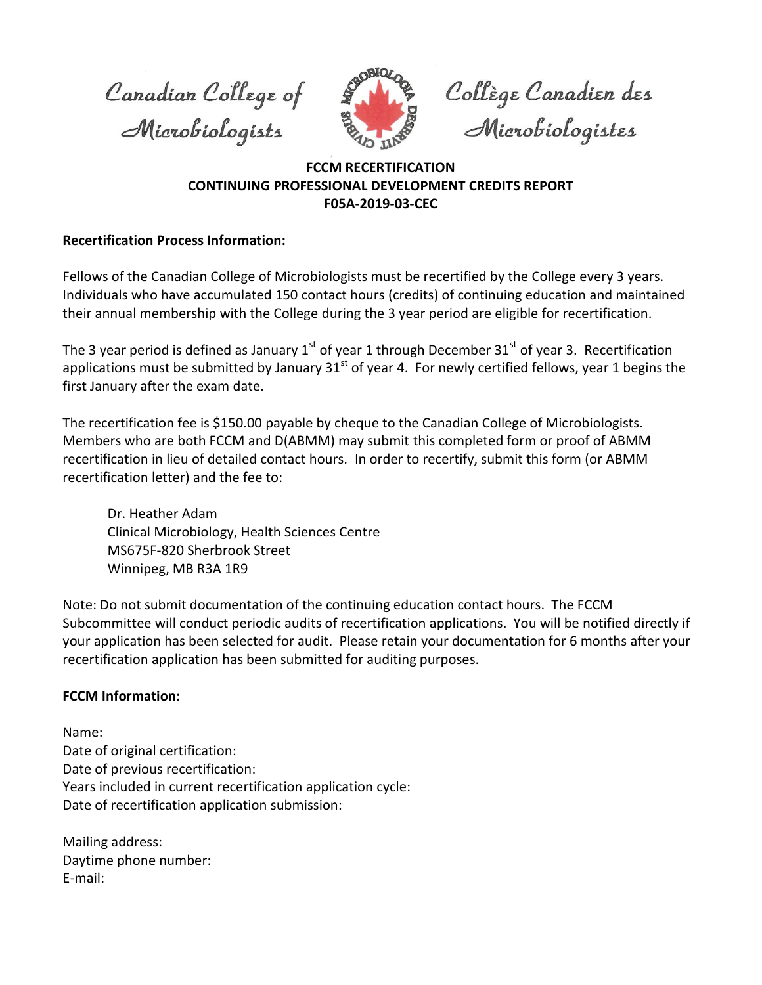Canadian College of Microbiologists



Collège Canadien des<br>Microbiologistes

## **FCCM RECERTIFICATION CONTINUING PROFESSIONAL DEVELOPMENT CREDITS REPORT F05A‐2019‐03‐CEC**

## **Recertification Process Information:**

Fellows of the Canadian College of Microbiologists must be recertified by the College every 3 years. Individuals who have accumulated 150 contact hours (credits) of continuing education and maintained their annual membership with the College during the 3 year period are eligible for recertification.

The 3 year period is defined as January  $1<sup>st</sup>$  of year 1 through December 31 $<sup>st</sup>$  of year 3. Recertification</sup> applications must be submitted by January  $31^{st}$  of year 4. For newly certified fellows, year 1 begins the first January after the exam date.

The recertification fee is \$150.00 payable by cheque to the Canadian College of Microbiologists. Members who are both FCCM and D(ABMM) may submit this completed form or proof of ABMM recertification in lieu of detailed contact hours. In order to recertify, submit this form (or ABMM recertification letter) and the fee to:

Dr. Heather Adam Clinical Microbiology, Health Sciences Centre MS675F-820 Sherbrook Street Winnipeg, MB R3A 1R9

Note: Do not submit documentation of the continuing education contact hours. The FCCM Subcommittee will conduct periodic audits of recertification applications. You will be notified directly if your application has been selected for audit. Please retain your documentation for 6 months after your recertification application has been submitted for auditing purposes.

## **FCCM Information:**

Name: Date of original certification: Date of previous recertification: Years included in current recertification application cycle: Date of recertification application submission:

Mailing address: Daytime phone number: E‐mail: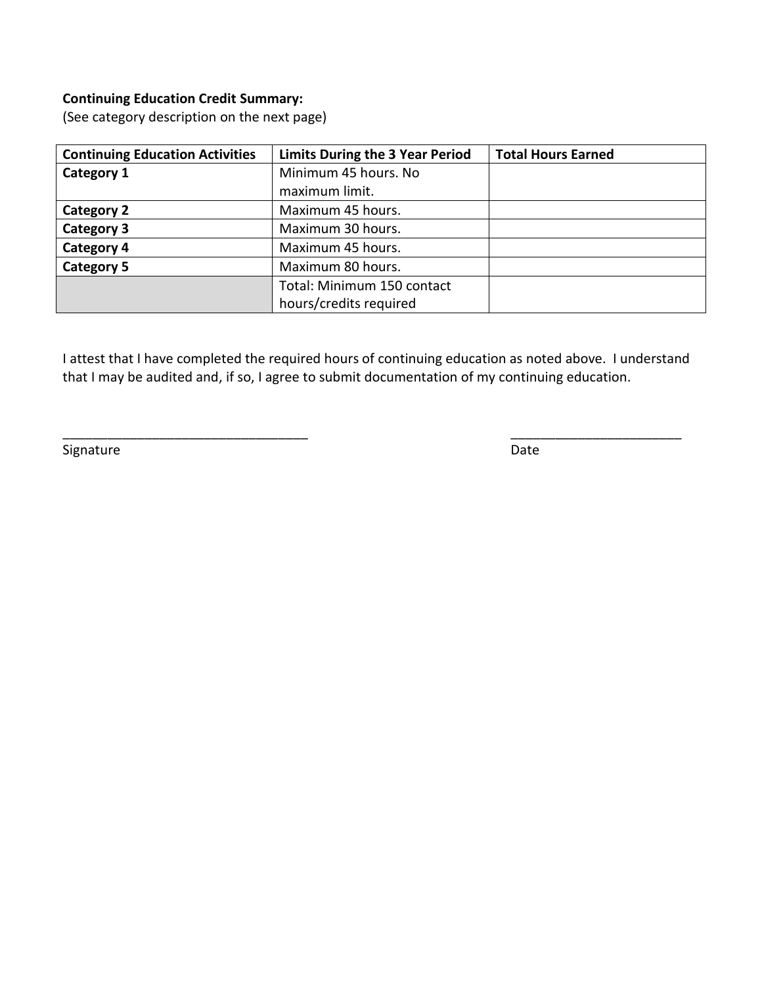## **Continuing Education Credit Summary:**

(See category description on the next page)

| <b>Continuing Education Activities</b> | <b>Limits During the 3 Year Period</b> | <b>Total Hours Earned</b> |
|----------------------------------------|----------------------------------------|---------------------------|
| Category 1                             | Minimum 45 hours. No                   |                           |
|                                        | maximum limit.                         |                           |
| <b>Category 2</b>                      | Maximum 45 hours.                      |                           |
| <b>Category 3</b>                      | Maximum 30 hours.                      |                           |
| <b>Category 4</b>                      | Maximum 45 hours.                      |                           |
| Category 5                             | Maximum 80 hours.                      |                           |
|                                        | Total: Minimum 150 contact             |                           |
|                                        | hours/credits required                 |                           |

I attest that I have completed the required hours of continuing education as noted above. I understand that I may be audited and, if so, I agree to submit documentation of my continuing education.

\_\_\_\_\_\_\_\_\_\_\_\_\_\_\_\_\_\_\_\_\_\_\_\_\_\_\_\_\_\_\_\_\_ \_\_\_\_\_\_\_\_\_\_\_\_\_\_\_\_\_\_\_\_\_\_\_

Signature Date Date Communications and Date Date Date Date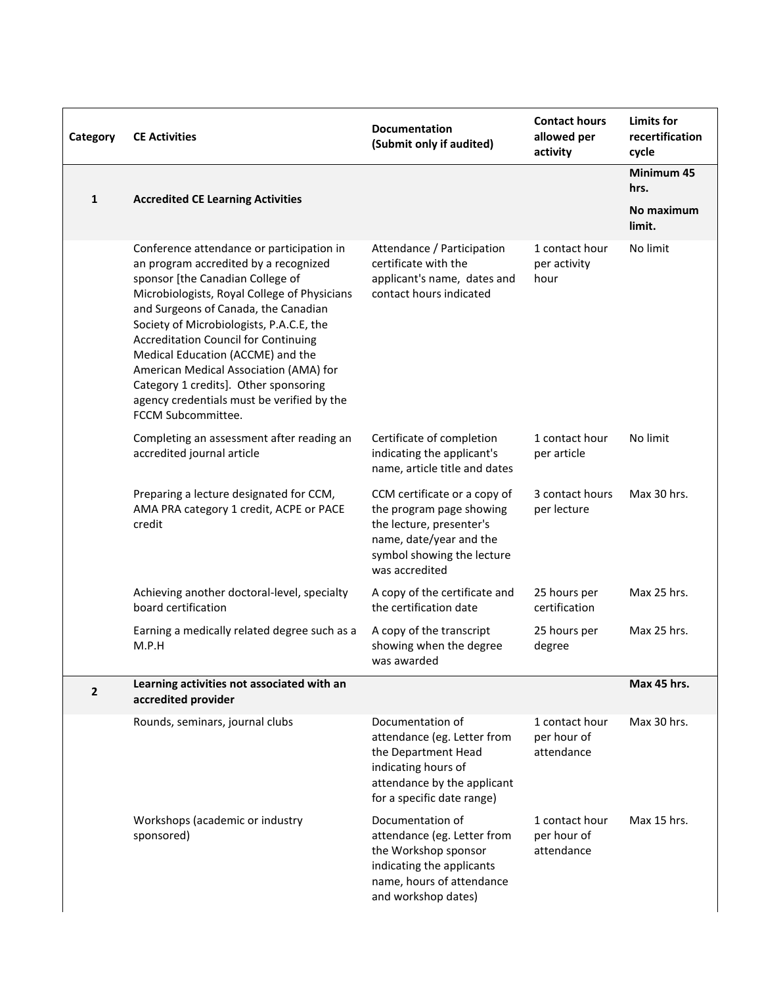| Category     | <b>CE Activities</b>                                                                                                                                                                                                                                                                                                                                                                                                                                                                                  | <b>Documentation</b><br>(Submit only if audited)                                                                                                                | <b>Contact hours</b><br>allowed per<br>activity | Limits for<br>recertification<br>cycle |
|--------------|-------------------------------------------------------------------------------------------------------------------------------------------------------------------------------------------------------------------------------------------------------------------------------------------------------------------------------------------------------------------------------------------------------------------------------------------------------------------------------------------------------|-----------------------------------------------------------------------------------------------------------------------------------------------------------------|-------------------------------------------------|----------------------------------------|
| 1            | <b>Accredited CE Learning Activities</b>                                                                                                                                                                                                                                                                                                                                                                                                                                                              |                                                                                                                                                                 |                                                 | Minimum 45<br>hrs.                     |
|              |                                                                                                                                                                                                                                                                                                                                                                                                                                                                                                       |                                                                                                                                                                 |                                                 | No maximum<br>limit.                   |
|              | Conference attendance or participation in<br>an program accredited by a recognized<br>sponsor [the Canadian College of<br>Microbiologists, Royal College of Physicians<br>and Surgeons of Canada, the Canadian<br>Society of Microbiologists, P.A.C.E, the<br><b>Accreditation Council for Continuing</b><br>Medical Education (ACCME) and the<br>American Medical Association (AMA) for<br>Category 1 credits]. Other sponsoring<br>agency credentials must be verified by the<br>FCCM Subcommittee. | Attendance / Participation<br>certificate with the<br>applicant's name, dates and<br>contact hours indicated                                                    | 1 contact hour<br>per activity<br>hour          | No limit                               |
|              | Completing an assessment after reading an<br>accredited journal article                                                                                                                                                                                                                                                                                                                                                                                                                               | Certificate of completion<br>indicating the applicant's<br>name, article title and dates                                                                        | 1 contact hour<br>per article                   | No limit                               |
|              | Preparing a lecture designated for CCM,<br>AMA PRA category 1 credit, ACPE or PACE<br>credit                                                                                                                                                                                                                                                                                                                                                                                                          | CCM certificate or a copy of<br>the program page showing<br>the lecture, presenter's<br>name, date/year and the<br>symbol showing the lecture<br>was accredited | 3 contact hours<br>per lecture                  | Max 30 hrs.                            |
|              | Achieving another doctoral-level, specialty<br>board certification                                                                                                                                                                                                                                                                                                                                                                                                                                    | A copy of the certificate and<br>the certification date                                                                                                         | 25 hours per<br>certification                   | Max 25 hrs.                            |
|              | Earning a medically related degree such as a<br>M.P.H                                                                                                                                                                                                                                                                                                                                                                                                                                                 | A copy of the transcript<br>showing when the degree<br>was awarded                                                                                              | 25 hours per<br>degree                          | Max 25 hrs.                            |
| $\mathbf{2}$ | Learning activities not associated with an<br>accredited provider                                                                                                                                                                                                                                                                                                                                                                                                                                     |                                                                                                                                                                 |                                                 | Max 45 hrs.                            |
|              | Rounds, seminars, journal clubs                                                                                                                                                                                                                                                                                                                                                                                                                                                                       | Documentation of<br>attendance (eg. Letter from<br>the Department Head<br>indicating hours of<br>attendance by the applicant<br>for a specific date range)      | 1 contact hour<br>per hour of<br>attendance     | Max 30 hrs.                            |
|              | Workshops (academic or industry<br>sponsored)                                                                                                                                                                                                                                                                                                                                                                                                                                                         | Documentation of<br>attendance (eg. Letter from<br>the Workshop sponsor<br>indicating the applicants<br>name, hours of attendance<br>and workshop dates)        | 1 contact hour<br>per hour of<br>attendance     | Max 15 hrs.                            |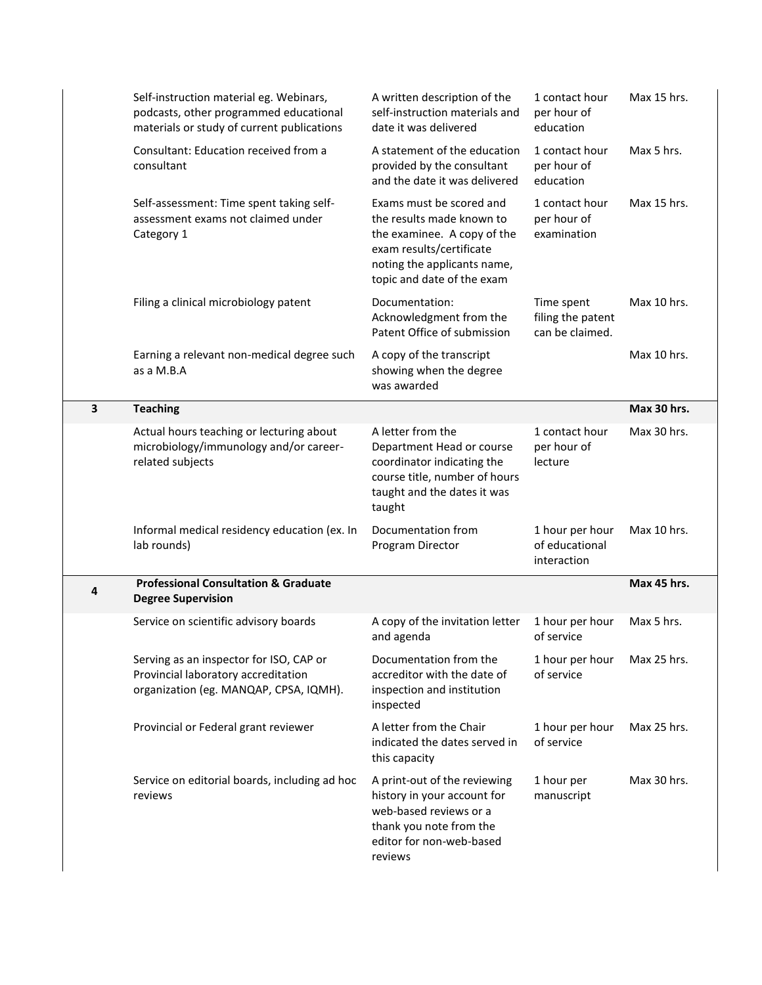|   | Self-instruction material eg. Webinars,<br>podcasts, other programmed educational<br>materials or study of current publications | A written description of the<br>self-instruction materials and<br>date it was delivered                                                                                       | 1 contact hour<br>per hour of<br>education         | Max 15 hrs. |
|---|---------------------------------------------------------------------------------------------------------------------------------|-------------------------------------------------------------------------------------------------------------------------------------------------------------------------------|----------------------------------------------------|-------------|
|   | Consultant: Education received from a<br>consultant                                                                             | A statement of the education<br>provided by the consultant<br>and the date it was delivered                                                                                   | 1 contact hour<br>per hour of<br>education         | Max 5 hrs.  |
|   | Self-assessment: Time spent taking self-<br>assessment exams not claimed under<br>Category 1                                    | Exams must be scored and<br>the results made known to<br>the examinee. A copy of the<br>exam results/certificate<br>noting the applicants name,<br>topic and date of the exam | 1 contact hour<br>per hour of<br>examination       | Max 15 hrs. |
|   | Filing a clinical microbiology patent                                                                                           | Documentation:<br>Acknowledgment from the<br>Patent Office of submission                                                                                                      | Time spent<br>filing the patent<br>can be claimed. | Max 10 hrs. |
|   | Earning a relevant non-medical degree such<br>as a M.B.A                                                                        | A copy of the transcript<br>showing when the degree<br>was awarded                                                                                                            |                                                    | Max 10 hrs. |
| 3 | <b>Teaching</b>                                                                                                                 |                                                                                                                                                                               |                                                    | Max 30 hrs. |
|   | Actual hours teaching or lecturing about<br>microbiology/immunology and/or career-<br>related subjects                          | A letter from the<br>Department Head or course<br>coordinator indicating the<br>course title, number of hours<br>taught and the dates it was<br>taught                        | 1 contact hour<br>per hour of<br>lecture           | Max 30 hrs. |
|   | Informal medical residency education (ex. In<br>lab rounds)                                                                     | Documentation from<br>Program Director                                                                                                                                        | 1 hour per hour<br>of educational<br>interaction   | Max 10 hrs. |
| 4 | <b>Professional Consultation &amp; Graduate</b><br><b>Degree Supervision</b>                                                    |                                                                                                                                                                               |                                                    | Max 45 hrs. |
|   | Service on scientific advisory boards                                                                                           | A copy of the invitation letter<br>and agenda                                                                                                                                 | 1 hour per hour<br>of service                      | Max 5 hrs.  |
|   | Serving as an inspector for ISO, CAP or<br>Provincial laboratory accreditation<br>organization (eg. MANQAP, CPSA, IQMH).        | Documentation from the<br>accreditor with the date of<br>inspection and institution<br>inspected                                                                              | 1 hour per hour<br>of service                      | Max 25 hrs. |
|   | Provincial or Federal grant reviewer                                                                                            | A letter from the Chair<br>indicated the dates served in<br>this capacity                                                                                                     | 1 hour per hour<br>of service                      | Max 25 hrs. |
|   | Service on editorial boards, including ad hoc<br>reviews                                                                        | A print-out of the reviewing<br>history in your account for<br>web-based reviews or a<br>thank you note from the<br>editor for non-web-based<br>reviews                       | 1 hour per<br>manuscript                           | Max 30 hrs. |
|   |                                                                                                                                 |                                                                                                                                                                               |                                                    |             |